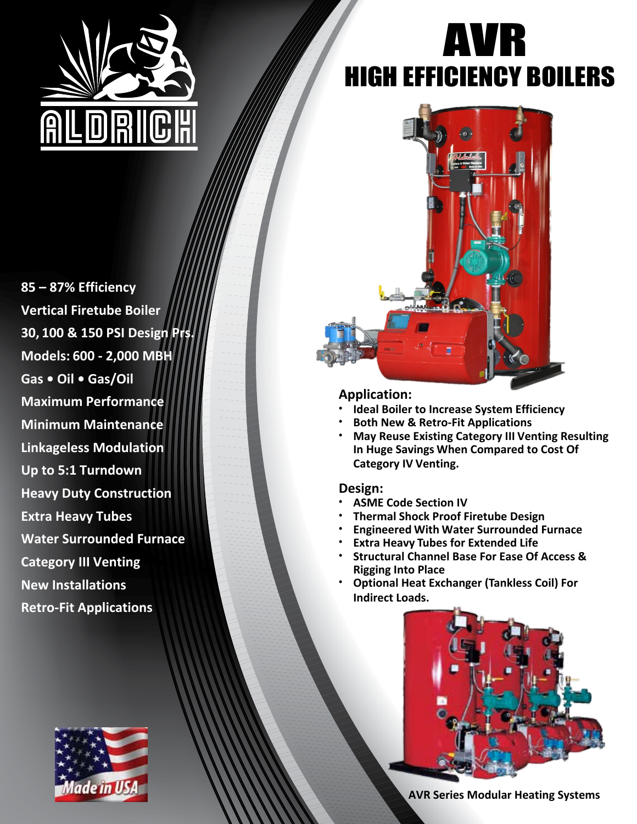

**85 – 87% Efficiency Vertical Firetube Boiler 30, 100 & 150 PSI Design Prs. Models: 600 - 2,000 MBH Gas • Oil • Gas/Oil Maximum Performance Minimum Maintenance Linkageless Modulation Up to 5:1 Turndown Heavy Duty Construction Extra Heavy Tubes Water Surrounded Furnace Category III Venting New Installations Retro-Fit Applications** 



# AVR HIGH EFFICIENCY BOILERS



## **Application:**

- **Ideal Boiler to Increase System Efficiency**
- **Both New & Retro-Fit Applications**
- **May Reuse Existing Category III Venting Resulting In Huge Savings When Compared to Cost Of Category IV Venting.**

### **Design:**

- **ASME Code Section IV**
- **Thermal Shock Proof Firetube Design**
- **Engineered With Water Surrounded Furnace**
- **Extra Heavy Tubes for Extended Life**
- **Structural Channel Base For Ease Of Access & Rigging Into Place**
- **Optional Heat Exchanger (Tankless Coil) For Indirect Loads.**



**AVR Series Modular Heating Systems**